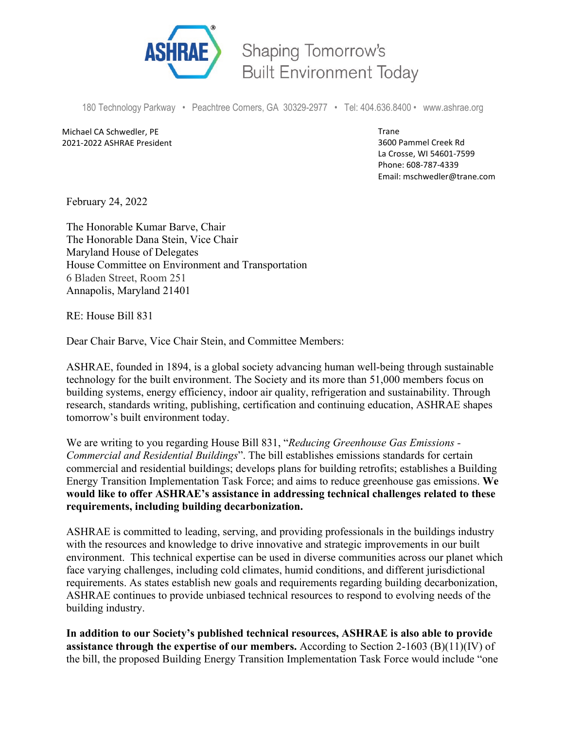

Shaping Tomorrow's **Built Environment Today** 

180 Technology Parkway • Peachtree Corners, GA 30329-2977 • Tel: 404.636.8400 • www.ashrae.org

Michael CA Schwedler, PE 2021-2022 ASHRAE President Trane 3600 Pammel Creek Rd La Crosse, WI 54601-7599 Phone: 608-787-4339 Email: mschwedler@trane.com

February 24, 2022

The Honorable Kumar Barve, Chair The Honorable Dana Stein, Vice Chair Maryland House of Delegates House Committee on Environment and Transportation 6 Bladen Street, Room 251 Annapolis, Maryland 21401

RE: House Bill 831

Dear Chair Barve, Vice Chair Stein, and Committee Members:

ASHRAE, founded in 1894, is a global society advancing human well-being through sustainable technology for the built environment. The Society and its more than 51,000 members focus on building systems, energy efficiency, indoor air quality, refrigeration and sustainability. Through research, standards writing, publishing, certification and continuing education, ASHRAE shapes tomorrow's built environment today.

We are writing to you regarding House Bill 831, "*Reducing Greenhouse Gas Emissions - Commercial and Residential Buildings*". The bill establishes emissions standards for certain commercial and residential buildings; develops plans for building retrofits; establishes a Building Energy Transition Implementation Task Force; and aims to reduce greenhouse gas emissions. **We would like to offer ASHRAE's assistance in addressing technical challenges related to these requirements, including building decarbonization.**

ASHRAE is committed to leading, serving, and providing professionals in the buildings industry with the resources and knowledge to drive innovative and strategic improvements in our built environment. This technical expertise can be used in diverse communities across our planet which face varying challenges, including cold climates, humid conditions, and different jurisdictional requirements. As states establish new goals and requirements regarding building decarbonization, ASHRAE continues to provide unbiased technical resources to respond to evolving needs of the building industry.

**In addition to our Society's published technical resources, ASHRAE is also able to provide assistance through the expertise of our members.** According to Section 2-1603 (B)(11)(IV) of the bill, the proposed Building Energy Transition Implementation Task Force would include "one